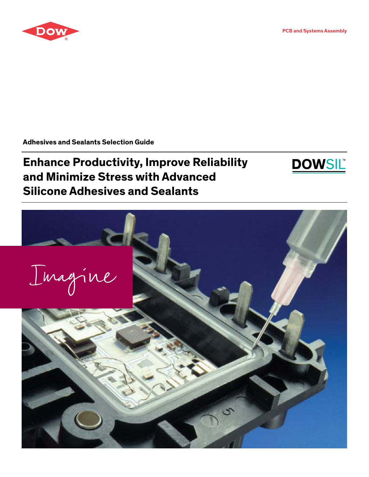

**PCB and Systems Assembly**

**Adhesives and Sealants Selection Guide**

# **Enhance Productivity, Improve Reliability and Minimize Stress with Advanced Silicone Adhesives and Sealants**



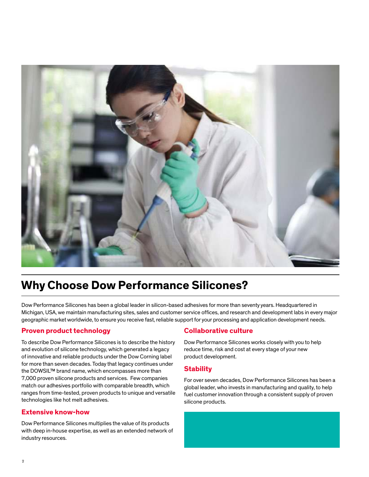

### **Why Choose Dow Performance Silicones?**

Dow Performance Silicones has been a global leader in silicon-based adhesives for more than seventy years. Headquartered in Michigan, USA, we maintain manufacturing sites, sales and customer service offices, and research and development labs in every major geographic market worldwide, to ensure you receive fast, reliable support for your processing and application development needs.

#### **Proven product technology**

To describe Dow Performance Silicones is to describe the history and evolution of silicone technology, which generated a legacy of innovative and reliable products under the Dow Corning label for more than seven decades. Today that legacy continues under the DOWSIL™ brand name, which encompasses more than 7,000 proven silicone products and services. Few companies match our adhesives portfolio with comparable breadth, which ranges from time-tested, proven products to unique and versatile technologies like hot melt adhesives.

#### **Extensive know-how**

Dow Performance Silicones multiplies the value of its products with deep in-house expertise, as well as an extended network of industry resources.

#### **Collaborative culture**

Dow Performance Silicones works closely with you to help reduce time, risk and cost at every stage of your new product development.

#### **Stability**

For over seven decades, Dow Performance Silicones has been a global leader, who invests in manufacturing and quality, to help fuel customer innovation through a consistent supply of proven silicone products.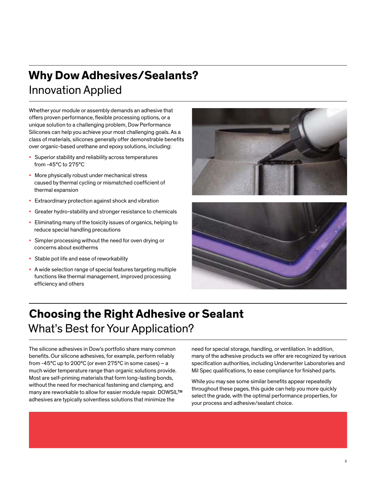## **Why Dow Adhesives/Sealants?** Innovation Applied

Whether your module or assembly demands an adhesive that offers proven performance, flexible processing options, or a unique solution to a challenging problem, Dow Performance Silicones can help you achieve your most challenging goals. As a class of materials, silicones generally offer demonstrable benefits over organic-based urethane and epoxy solutions, including:

- Superior stability and reliability across temperatures from -45°C to 275°C
- More physically robust under mechanical stress caused by thermal cycling or mismatched coefficient of thermal expansion
- Extraordinary protection against shock and vibration
- Greater hydro-stability and stronger resistance to chemicals
- Eliminating many of the toxicity issues of organics, helping to reduce special handling precautions
- Simpler processing without the need for oven drying or concerns about exotherms
- Stable pot life and ease of reworkability
- A wide selection range of special features targeting multiple functions like thermal management, improved processing efficiency and others





### **Choosing the Right Adhesive or Sealant**  What's Best for Your Application?

The silicone adhesives in Dow's portfolio share many common benefits. Our silicone adhesives, for example, perform reliably from -45°C up to 200°C (or even 275°C in some cases) – a much wider temperature range than organic solutions provide. Most are self-priming materials that form long-lasting bonds, without the need for mechanical fastening and clamping, and many are reworkable to allow for easier module repair. DOWSIL™ adhesives are typically solventless solutions that minimize the

need for special storage, handling, or ventilation. In addition, many of the adhesive products we offer are recognized by various specification authorities, including Underwriter Laboratories and Mil Spec qualifications, to ease compliance for finished parts.

While you may see some similar benefits appear repeatedly throughout these pages, this guide can help you more quickly select the grade, with the optimal performance properties, for your process and adhesive/sealant choice.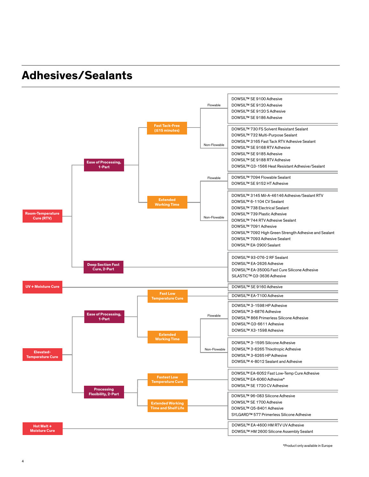### **Adhesives/Sealants**



\*Product only available in Europe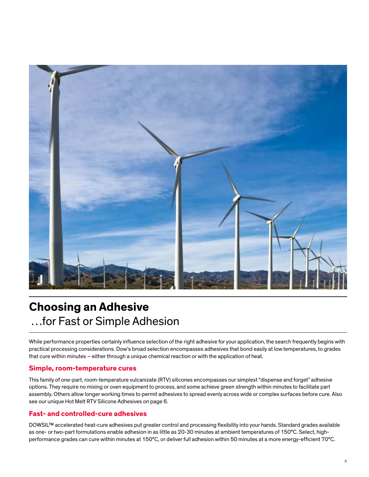

### **Choosing an Adhesive**  …for Fast or Simple Adhesion

While performance properties certainly influence selection of the right adhesive for your application, the search frequently begins with practical processing considerations. Dow's broad selection encompasses adhesives that bond easily at low temperatures, to grades that cure within minutes – either through a unique chemical reaction or with the application of heat.

#### **Simple, room-temperature cures**

This family of one-part, room-temperature vulcanizate (RTV) silicones encompasses our simplest "dispense and forget" adhesive options. They require no mixing or oven equipment to process, and some achieve green strength within minutes to facilitate part assembly. Others allow longer working times to permit adhesives to spread evenly across wide or complex surfaces before cure. Also see our unique Hot Melt RTV Silicone Adhesives on page 6.

#### **Fast- and controlled-cure adhesives**

DOWSIL™ accelerated heat-cure adhesives put greater control and processing flexibility into your hands. Standard grades available as one- or two-part formulations enable adhesion in as little as 20-30 minutes at ambient temperatures of 150°C. Select, highperformance grades can cure within minutes at 150°C, or deliver full adhesion within 50 minutes at a more energy-efficient 70°C.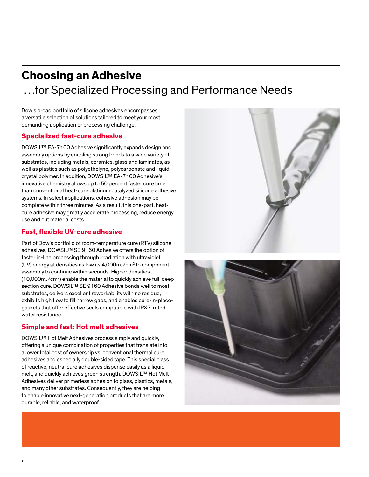### **Choosing an Adhesive**  …for Specialized Processing and Performance Needs

Dow's broad portfolio of silicone adhesives encompasses a versatile selection of solutions tailored to meet your most demanding application or processing challenge.

#### **Specialized fast-cure adhesive**

DOWSIL™ EA-7100 Adhesive significantly expands design and assembly options by enabling strong bonds to a wide variety of substrates, including metals, ceramics, glass and laminates, as well as plastics such as polyethelyne, polycarbonate and liquid crystal polymer. In addition, DOWSIL™ EA-7100 Adhesive's innovative chemistry allows up to 50 percent faster cure time than conventional heat-cure platinum catalyzed silicone adhesive systems. In select applications, cohesive adhesion may be complete within three minutes. As a result, this one-part, heatcure adhesive may greatly accelerate processing, reduce energy use and cut material costs.

#### **Fast, flexible UV-cure adhesive**

Part of Dow's portfolio of room-temperature cure (RTV) silicone adhesives, DOWSIL™ SE 9160 Adhesive offers the option of faster in-line processing through irradiation with ultraviolet (UV) energy at densities as low as  $4,000$ mJ/cm $2$  to component assembly to continue within seconds. Higher densities (10,000mJ/cm<sup>2</sup> ) enable the material to quickly achieve full, deep section cure. DOWSIL™ SE 9160 Adhesive bonds well to most substrates, delivers excellent reworkability with no residue, exhibits high flow to fill narrow gaps, and enables cure-in-placegaskets that offer effective seals compatible with IPX7-rated water resistance.

#### **Simple and fast: Hot melt adhesives**

DOWSIL™ Hot Melt Adhesives process simply and quickly, offering a unique combination of properties that translate into a lower total cost of ownership vs. conventional thermal cure adhesives and especially double-sided tape. This special class of reactive, neutral cure adhesives dispense easily as a liquid melt, and quickly achieves green strength. DOWSIL™ Hot Melt Adhesives deliver primerless adhesion to glass, plastics, metals, and many other substrates. Consequently, they are helping to enable innovative next-generation products that are more durable, reliable, and waterproof.



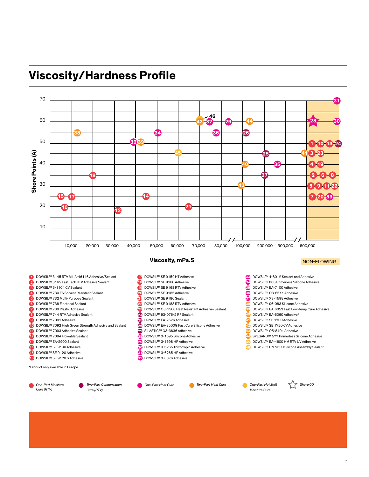



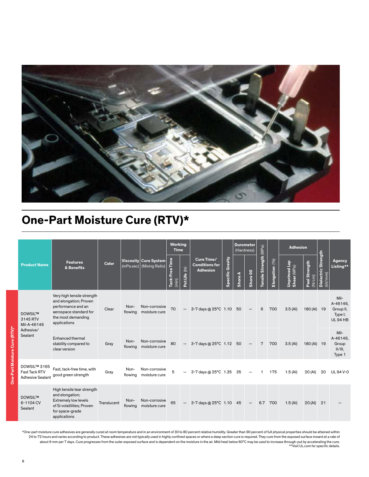

### **One-Part Moisture Cure (RTV)\***

|                                                                 | <b>Features</b><br>& Benefits                                                                                                              |             |                 |                                         | <b>Working</b><br><b>Time</b>       |                                    |                                                        |                         |        | <b>Durometer</b><br>(Hardness) |                        |                | <b>Adhesion</b>                 |                         |                                |                                                            |
|-----------------------------------------------------------------|--------------------------------------------------------------------------------------------------------------------------------------------|-------------|-----------------|-----------------------------------------|-------------------------------------|------------------------------------|--------------------------------------------------------|-------------------------|--------|--------------------------------|------------------------|----------------|---------------------------------|-------------------------|--------------------------------|------------------------------------------------------------|
| <b>Product Name</b>                                             |                                                                                                                                            | Color       | (mPa.sec)       | Viscosity Cure System<br>(Mixing Ratio) | Tack-Free Time<br>$\overline{\min}$ | $\widehat{\mathsf{E}}$<br>Pot Life | Cure Time/<br><b>Conditions for</b><br><b>Adhesion</b> | <b>Specific Gravity</b> | ShoreA | Shore 00                       | Tensile Strength (MPa) | Elongation (%) | de-1<br>Shear (MPa)<br>Unprimed | Peel Strength<br>(N/cm) | Dielectric Strength<br>(kV/mm) | Agency<br>Listing**                                        |
| <b>DOWSIL™</b><br>3145 RTV<br>Mil-A-46146                       | Very high tensile strength<br>and elongation; Proven<br>performance and an<br>aerospace standard for<br>the most demanding<br>applications | Clear       | Non-<br>flowing | Non-corrosive<br>moisture cure          | 70                                  | $\overline{\phantom{m}}$           | 3-7 days @ 25°C 1.10 50                                |                         |        |                                | 6                      | 700            | 3.5 (Al)                        | 180 (AI) 19             |                                | Mil-<br>A-46146,<br>Group II,<br>Type I;<br><b>UL94 HB</b> |
| Adhesive/<br>Sealant                                            | <b>Enhanced thermal</b><br>stability compared to<br>clear version                                                                          | Gray        | Non-<br>flowing | Non-corrosive<br>moisture cure          | 80                                  | $\overline{\phantom{m}}$           | 3-7 days @ 25°C 1.12                                   |                         | 50     |                                | $7\phantom{.}$         | 700            | 3.5 (Al)                        | 180 (AI) 19             |                                | Mil-<br>A-46146,<br>Group<br>$II/III$ ,<br>Type 1          |
| DOWSIL™ 3165<br><b>Fast Tack RTV</b><br><b>Adhesive Sealant</b> | Fast, tack-free time, with<br>good green strength                                                                                          | Gray        | Non-<br>flowing | Non-corrosive<br>moisture cure          | 5                                   | -                                  | 3-7 days @ 25°C 1.35 35                                |                         |        |                                | 1                      | 175            | 1.5 (Al)                        | 20 (AI)                 | 20                             | UL94 V-0                                                   |
| <b>DOWSIL™</b><br>6-1104 CV<br>Sealant                          | High tensile tear strength<br>and elongation;<br>Extremely low levels<br>of Si volatilities; Proven<br>for space-grade<br>applications     | Translucent | Non-<br>flowing | Non-corrosive<br>moisture cure          | 65                                  | $\overline{\phantom{m}}$           | 3-7 days @ 25°C 1.10 45                                |                         |        | $\overline{\phantom{m}}$       | 6.7                    | 700            | 1.5 (Al)                        | 20 (Al)                 | 21                             |                                                            |

\*One-part moisture cure adhesives are generally cured at room temperature and in an environment of 30 to 80 percent relative humidity. Greater than 90 percent of full physical properties should be attained within 24 to 72 hours and varies according to product. These adhesives are not typically used in highly confined spaces or where a deep section cure is required. They cure from the exposed surface inward at a rate of about 6 mm per 7 days. Cure progresses from the outer exposed surface and is dependent on the moisture in the air. Mild heat below 60°C may be used to increase through-put by accelerating the cure.<br>\*\*Visit UL.com for speci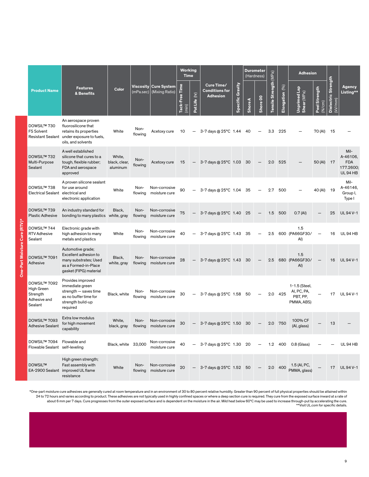|  |                                                                   |                                                                                                                                          | <b>Working</b><br><b>Time</b>       |                        |                                      |                                     |                 |                                                        | <b>Durometer</b><br>(Hardness) |                |          | <b>Adhesion</b>        |                    |                                                        |                         |                                          |                                                               |
|--|-------------------------------------------------------------------|------------------------------------------------------------------------------------------------------------------------------------------|-------------------------------------|------------------------|--------------------------------------|-------------------------------------|-----------------|--------------------------------------------------------|--------------------------------|----------------|----------|------------------------|--------------------|--------------------------------------------------------|-------------------------|------------------------------------------|---------------------------------------------------------------|
|  | <b>Product Name</b>                                               | <b>Features</b><br>& Benefits                                                                                                            | Color                               | Viscosity<br>(mPa/sec) | <b>Cure System</b><br>(Mixing Ratio) | Time<br>Tack-Free<br>$\binom{m}{k}$ | (hr)<br>PotLife | Cure Time/<br><b>Conditions for</b><br><b>Adhesion</b> | Specific Gravity               | <b>Shore A</b> | Shore 00 | Tensile Strength (MPa) | (96)<br>Elongation | Unprimed Lap<br>Shear (MPa)                            | Peel Strength<br>(N/cm) | Strength<br><b>Dielectric</b><br>(kV/mm) | Agency<br>Listing**                                           |
|  | DOWSIL™ 730<br><b>FS Solvent</b>                                  | An aerospace proven<br>fluorosilicone that<br>retains its properties<br>Resistant Sealant under exposure to fuels,<br>oils, and solvents | White                               | Non-<br>flowing        | Acetoxy cure                         | 10                                  |                 | 3-7 days @ 25°C 1.44                                   |                                | - 40           |          | 3.3                    | 225                |                                                        | 70 (AI)                 | 15                                       |                                                               |
|  | DOWSIL™ 732<br>Multi-Purpose<br>Sealant                           | A well established<br>silicone that cures to a<br>tough, flexible rubber;<br>FDA and aerospace<br>approved                               | White,<br>black, clear,<br>aluminum | Non-<br>flowing        | Acetoxy cure                         | 15                                  |                 | 3-7 days @ 25°C 1.03 30                                |                                |                |          | 2.0                    | 525                |                                                        | 50 (AI) 17              |                                          | Mil-<br>A-46106,<br><b>FDA</b><br>177.2600:<br><b>UL94 HB</b> |
|  | DOWSIL™ 738<br><b>Electrical Sealant</b>                          | A proven silicone sealant<br>for use around<br>electrical and<br>electronic application                                                  | White                               | Non-<br>flowing        | Non-corrosive<br>moisture cure       | 90                                  |                 | 3-7 days @ 25°C 1.04                                   |                                | 35             |          | 2.7                    | 500                |                                                        | 40 (AI)                 | 19                                       | Mil-<br>A-46146,<br>Group I,<br>Type I                        |
|  | DOWSIL™ 739<br><b>Plastic Adhesive</b>                            | An industry standard for<br>bonding to many plastics                                                                                     | Black,<br>white, gray               | Non-<br>flowing        | Non-corrosive<br>moisture cure       | 75                                  |                 | $-$ 3-7 days @ 25°C 1.40 25                            |                                |                |          | 1.5                    | 500                | 0.7(Al)                                                |                         | 25                                       | UL 94 V-1                                                     |
|  | DOWSIL™ 744<br><b>RTV</b> Adhesive<br>Sealant                     | Electronic grade with<br>high adhesion to many<br>metals and plastics                                                                    | White                               | Non-<br>flowing        | Non-corrosive<br>moisture cure       | 40                                  |                 | 3-7 days @ 25°C 1.43                                   |                                | 35             |          | 2.5                    |                    | 1.5<br>600 (PA66GF30/<br>AI)                           |                         | 16                                       | <b>UL94 HB</b>                                                |
|  | DOWSIL™ 7091<br>Adhesive                                          | Automotive grade;<br>Excellent adhesion to<br>many substrates; Used<br>as a Formed-in-Place<br>gasket (FIPG) material                    | Black,<br>white, gray               | Non-<br>flowing        | Non-corrosive<br>moisture cure       | 28                                  |                 | 3-7 days @ 25°C 1.43 30                                |                                |                |          | 2.5                    |                    | 1.5<br>680 (PA66GF30/<br>AI)                           |                         | 16                                       | <b>UL 94 V-1</b>                                              |
|  | DOWSIL™ 7092<br>High Green<br>Strength<br>Adhesive and<br>Sealant | Provides improved<br>immediate green<br>strength $-$ saves time<br>as no buffer time for<br>strength build-up<br>required                | Black, white                        | Non-<br>flowing        | Non-corrosive<br>moisture cure       | 30                                  |                 | 3-7 days @ 25°C 1.58                                   |                                | 50             |          |                        | 2.0 425            | 1-1.5 (Steel,<br>AI, PC, PA,<br>PBT, PP,<br>PMMA, ABS) |                         | 17                                       | UL 94 V-1                                                     |
|  | DOWSIL™ 7093<br><b>Adhesive Sealant</b>                           | Extra low modulus<br>for high movement<br>capability                                                                                     | White,<br>black, gray               | Non-<br>flowing        | Non-corrosive<br>moisture cure       | 30                                  |                 | $-$ 3-7 days @ 25°C 1.50 30                            |                                |                |          | 2.0                    | 750                | 100% CF<br>(Al, glass)                                 |                         | 13                                       |                                                               |
|  | DOWSIL™ 7094<br>Flowable Sealant self-leveling                    | Flowable and                                                                                                                             | Black, white 33,000                 |                        | Non-corrosive<br>moisture cure       | 40                                  |                 | 3-7 days @ 25°C 1.30                                   |                                | -20            |          | 1.2                    | 400                | 0.8 (Glass)                                            |                         |                                          | <b>UL94 HB</b>                                                |
|  | <b>DOWSILTM</b>                                                   | High green strength;<br>Fast assembly with<br>EA-2900 Sealant improved UL flame<br>resistance                                            | White                               | Non-<br>flowing        | Non-corrosive<br>moisture cure       | 20                                  |                 | 3-7 days @ 25°C 1.52                                   |                                | - 50           |          | 2.0                    | 400                | 1.5 (AI, PC,<br>PMMA, glass)                           |                         | 17                                       | UL 94 V-1                                                     |

One-Part Moisture Cure (RTV)\*

\*One-part moisture cure adhesives are generally cured at room temperature and in an environment of 30 to 80 percent relative humidity. Greater than 90 percent of full physical properties should be attained within 24 to 72 hours and varies according to product. These adhesives are not typically used in highly confined spaces or where a deep section cure is required. They cure from the exposed surface inward at a rate of about 6 mm per 7 days. Cure progresses from the outer exposed surface and is dependent on the moisture in the air. Mild heat below 60°C may be used to increase through-put by accelerating the cure.<br>\*\*Visit UL.com for speci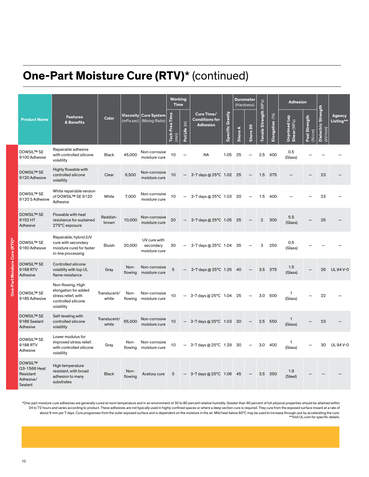# **One-Part Moisture Cure (RTV)\*** (continued)

|                                                                     |                                                                                                       | <b>Working</b><br><b>Time</b> |                               |                                            |                                                   |                  | <b>Durometer</b><br>(Hardness)                         |                  |                |          | <b>Adhesion</b>        |                |                             |                         |                                |                     |
|---------------------------------------------------------------------|-------------------------------------------------------------------------------------------------------|-------------------------------|-------------------------------|--------------------------------------------|---------------------------------------------------|------------------|--------------------------------------------------------|------------------|----------------|----------|------------------------|----------------|-----------------------------|-------------------------|--------------------------------|---------------------|
| <b>Product Name</b>                                                 | <b>Features</b><br>& Benefits                                                                         | Color                         | <b>Viscosity</b><br>(mPa/sec) | Cure System<br>(Mixing Ratio)              | <b>Tack-Free Time</b><br>$\widehat{\mathsf{min}}$ | (hr)<br>Pot Life | Cure Time/<br><b>Conditions for</b><br><b>Adhesion</b> | Specific Gravity | <b>Shore A</b> | Shore 00 | Tensile Strength (MPa) | Elongation (%) | Unprimed Lap<br>Shear (MPa) | Peel Strength<br>(M/cm) | Dielectric Strength<br>(kV/mm) | Agency<br>Listing** |
| <b>DOWSIL™ SE</b><br>9100 Adhesive                                  | Repairable adhesive<br>with controlled silicone<br>volatility                                         | <b>Black</b>                  | 45.000                        | Non-corrosive<br>moisture cure             | 10                                                |                  | <b>NA</b>                                              | 1.05             | 25             |          | 2.5                    | 400            | 0.5<br>(Glass)              |                         |                                |                     |
| <b>DOWSIL™ SE</b><br>9120 Adhesive                                  | Highly flowable with<br>controlled silicone<br>volatility                                             | Clear                         | 6,500                         | Non-corrosive<br>moisture cure             | 10                                                |                  | 3-7 days @ 25°C 1.02 25                                |                  |                |          | 1.5                    | 375            |                             |                         | 23                             |                     |
| <b>DOWSIL™ SE</b><br>9120 S Adhesive                                | White repairable version<br>of DOWSIL™ SE 9120<br>Adhesive                                            | White                         | 7.000                         | Non-corrosive<br>moisture cure             | 10                                                |                  | 3-7 days @ 25°C 1.03                                   |                  | 20             |          | 1.5                    | 400            |                             |                         | 23                             |                     |
| <b>DOWSIL™ SE</b><br>9152 HT<br>Adhesive                            | Flowable with heat<br>resistance for sustained<br>275°C exposure                                      | Reddish-<br>brown             | 10,000                        | Non-corrosive<br>moisture cure             | 20                                                |                  | 3-7 days @ 25°C 1.05                                   |                  | 25             |          | $\mathbf{2}$           | 300            | 5.5<br>(Glass)              |                         | 25                             |                     |
| <b>DOWSIL™ SE</b><br>9160 Adhesive                                  | Repairable, hybrid (UV<br>cure with secondary<br>moisture cure) for faster<br>in-line processing      | <b>Bluish</b>                 | 20.000                        | UV cure with<br>secondary<br>moisture cure | 30                                                |                  | 3-7 days @ 25°C 1.04                                   |                  | 35             |          | 3                      | 250            | 0.5<br>(Glass)              |                         |                                |                     |
| <b>DOWSIL™ SE</b><br>9168 RTV<br>Adhesive                           | Controlled silicone<br>volatility with top UL<br>flame resistance                                     | Gray                          | Non-<br>flowing               | Non-corrosive<br>moisture cure             | 5                                                 |                  | 3-7 days @ 25°C 1.25 40                                |                  |                |          |                        | 3.5 375        | 1.5<br>(Glass)              |                         | 26                             | <b>UL94V-0</b>      |
| <b>DOWSIL™ SE</b><br>9185 Adhesive                                  | Non-flowing; High<br>elongation for added<br>stress relief, with<br>controlled silicone<br>volatility | Translucent/<br>white         | Non-<br>flowing               | Non-corrosive<br>moisture cure             | 10                                                |                  | 3-7 days @ 25°C 1.04                                   |                  | 25             |          | 3.0                    | 500            | 1<br>(Glass)                |                         | 22                             |                     |
| <b>DOWSIL™ SE</b><br>9186 Sealant<br>Adhesive                       | Self-leveling with<br>controlled silicone<br>volatility                                               | Translucent/<br>white         | 65.000                        | Non-corrosive<br>moisture cure             | 10                                                |                  | 3-7 days @ 25°C 1.03                                   |                  | 20             |          | 2.5                    | 550            | $\mathbf{1}$<br>(Glass)     |                         | 23                             |                     |
| <b>DOWSIL™ SE</b><br>9188 RTV<br>Adhesive                           | Lower modulus for<br>improved stress relief.<br>with controlled silicone<br>volatility                | Gray                          | Non-<br>flowing               | Non-corrosive<br>moisture cure             | 10                                                |                  | 3-7 days @ 25°C 1.29                                   |                  | 30             |          |                        | 3.0 400        | 1<br>(Glass)                |                         | 30                             | <b>UL94V-0</b>      |
| <b>DOWSIL™</b><br>Q3-1566 Heat<br>Resistant<br>Adhesive/<br>Sealant | High temperature<br>resistant, with broad<br>adhesion to many<br>substrates                           | <b>Black</b>                  | Non-<br>flowing               | Acetoxy cure                               | 5                                                 |                  | 3-7 days @ 25°C 1.06                                   |                  | -45            |          | 3.5                    | 350            | 1.9<br>(Steel)              |                         |                                |                     |

\*One-part moisture cure adhesives are generally cured at room temperature and in an environment of 30 to 80 percent relative humidity. Greater than 90 percent of full physical properties should be attained within 24 to 72 hours and varies according to product. These adhesives are not typically used in highly confined spaces or where a deep section cure is required. They cure from the exposed surface inward at a rate of about 6 mm per 7 days. Cure progresses from the outer exposed surface and is dependent on the moisture in the air. Mild heat below 60°C may be used to increase through-put by accelerating the cure.<br>\*\*Visit UL.com for speci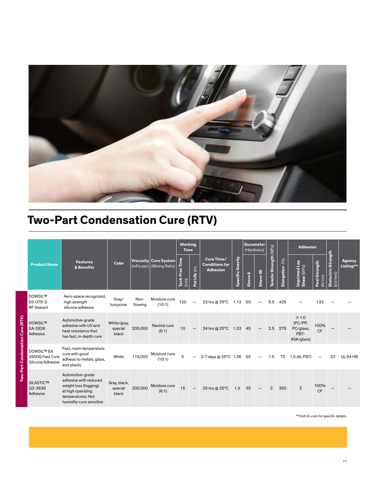

# **Two-Part Condensation Cure (RTV)**

|                                  |                                                           |                                                                                                                                         |                                  |                 |                                         | <b>Working</b><br><b>Time</b>   |                          |                                                        |                         |        | <b>Durometer</b><br>(Hardness) |                        |                              | <b>Adhesion</b>                                    |                         |                                |                     |
|----------------------------------|-----------------------------------------------------------|-----------------------------------------------------------------------------------------------------------------------------------------|----------------------------------|-----------------|-----------------------------------------|---------------------------------|--------------------------|--------------------------------------------------------|-------------------------|--------|--------------------------------|------------------------|------------------------------|----------------------------------------------------|-------------------------|--------------------------------|---------------------|
|                                  | <b>Product Name</b>                                       | <b>Features</b><br>& Benefits                                                                                                           | <b>Color</b>                     | (mPa.sec)       | Viscosity Cure System<br>(Mixing Ratio) | Free Time<br>$i$ ack-l<br>(min) | ot Life (hr)             | Cure Time/<br><b>Conditions for</b><br><b>Adhesion</b> | <b>Specific Gravity</b> | ShoreA | Shore 00                       | Tensile Strength (MPa) | $\sqrt[6]{60}$<br>Elongation | Unprimed Lap<br>Shear (MPa)                        | Peel Strength<br>(N/cm) | Dielectric Strength<br>(kV/mm) | Agency<br>Listing** |
|                                  | <b>DOWSILTM</b><br>93-076-2<br><b>RF</b> Sealant          | Aero-space recognized,<br>high strength<br>silicone adhesive                                                                            | Gray/<br>turquoise               | Non-<br>flowing | Moisture cure<br>(10:1)                 | 120                             | $\overline{\phantom{0}}$ | 23 hrs @ 25°C                                          | 1.13 50                 |        | $\overline{\phantom{0}}$       | 5.5                    | 425                          |                                                    | 133                     |                                |                     |
| Two-Part Condensation Cure (RTV) | <b>DOWSILTM</b><br>EA-2626<br>Adhesive                    | Automotive-grade<br>adhesive with UV and<br>heat resistance that<br>has fast, in-depth cure                                             | White/gray,<br>special<br>black  | 205,000         | Neutral cure<br>(6:1)                   | 10                              | $\overline{\phantom{m}}$ | 24 hrs @ 25°C                                          | 1.33 45                 |        | $\qquad \qquad -$              | 2.5                    | 275                          | >1.0<br>(PC/PP,<br>PC/glass,<br>PBT-<br>ASA/glass) | 100%<br><b>CF</b>       |                                |                     |
|                                  | <b>DOWSIL™ EA</b><br>3500G Fast Cure<br>Silicone Adhesive | Fast, room-temperature<br>cure with good<br>adhesio to metals, glass,<br>and plastic                                                    | White                            | 119,000         | Moisture cure<br>(10:1)                 | 5                               | $\overline{\phantom{0}}$ | 3-7 days @ 25°C 1.36 55                                |                         |        |                                | 1.5                    | 75                           | 1.5 (AI, PBT)                                      |                         | 23                             | <b>UL94 HB</b>      |
|                                  | <b>SILASTICTM</b><br>Q3-3636<br>Adhesive                  | Automotive-grade<br>adhesive with reduced<br>weight loss (fogging)<br>at high operating<br>temperatures; Not<br>humidity-cure sensitive | Gray, black,<br>special<br>black | 200,000         | Moisture cure<br>(6:1)                  | 15                              | $\overline{\phantom{0}}$ | 25 hrs @ 25°C                                          | 1.3                     | 35     |                                | $\overline{2}$         | 350                          | $\overline{2}$                                     | 100%<br><b>CF</b>       |                                |                     |

\*\*Visit UL.com for specific details.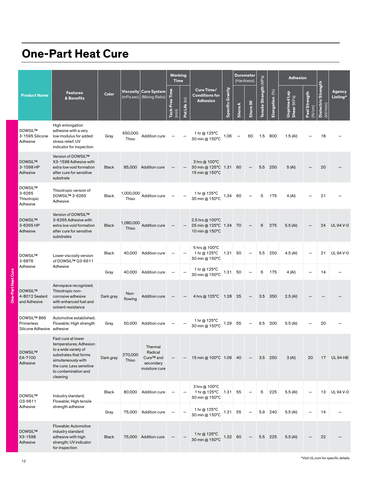### **One-Part Heat Cure**

|        |                                                         |                                                                                                                                                                                     |              |                    |                                                                           | <b>Working</b><br><b>Time</b> |               |                                                          |                     | (Hardness)     | <b>Durometer</b>         |                        |                    | <b>Adhesion</b>             |                          |                                                 |                    |
|--------|---------------------------------------------------------|-------------------------------------------------------------------------------------------------------------------------------------------------------------------------------------|--------------|--------------------|---------------------------------------------------------------------------|-------------------------------|---------------|----------------------------------------------------------|---------------------|----------------|--------------------------|------------------------|--------------------|-----------------------------|--------------------------|-------------------------------------------------|--------------------|
|        | <b>Product Name</b>                                     | <b>Features</b><br>& Benefits                                                                                                                                                       | Color        | (mPa.sec)          | Viscosity Cure System<br>(Mixing Ratio)                                   | Tack-Free Time<br>(min)       | Pot Life (hr) | Cure Time/<br><b>Conditions for</b><br><b>Adhesion</b>   | Gravity<br>Specific | <b>Shore A</b> | Shore 00                 | Tensile Strength (MPa) | (96)<br>Elongation | Unprimed Lap<br>Shear (MPa) | Peel Strength<br>(N/cm)  | <b>Strength</b><br><b>Dielectric</b><br>(kV/mm) | Agency<br>Listing* |
|        | <b>DOWSIL™</b><br>3-1595 Silicone<br>Adhesive           | High enlongation<br>adhesive with a very<br>low modulus for added<br>stress relief; UV<br>indicator for inspection                                                                  | Gray         | 650,000<br>Thixo   | Addition cure                                                             |                               |               | 1 hr @ 125°C<br>30 min @ 150°C                           | 1.06                |                | 60                       | 1.5                    | 800                | 1.5(Al)                     |                          | 18                                              |                    |
|        | <b>DOWSIL™</b><br>3-1598 HP<br>Adhesive                 | Version of DOWSIL™<br>X3-1598 Adhesive with<br>extra low void formation<br>after cure for sensitive<br>substrate                                                                    | <b>Black</b> |                    | 85,000 Addition cure                                                      |                               |               | 3 hrs @ 100°C<br>30 min @ 125°C 1.31<br>15 min @ 150°C   |                     | 60             |                          | 5.5                    | 250                | 5(Al)                       |                          | 20                                              |                    |
|        | <b>DOWSIL™</b><br>3-6265<br>Thixotropic<br>Adhesive     | Thixotropic version of<br>DOWSIL™ 3-6265<br>Adhesive                                                                                                                                | <b>Black</b> | 1,000,000<br>Thixo | Addition cure                                                             |                               |               | 1 hr @ 125°C<br>30 min @ 150°C                           | 1.34 60             |                |                          | 5                      | 175                | 4 (Al)                      |                          | 21                                              |                    |
|        | <b>DOWSIL™</b><br>3-6265 HP<br>Adhesive                 | Version of DOWSIL™<br>3-6265 Adhesive with<br>extra low void formation<br>after cure for sensitive<br>substrates                                                                    | <b>Black</b> | 1,080,000<br>Thixo | <b>Addition cure</b>                                                      |                               |               | 2.5 hrs @ 100°C<br>25 min @ 125°C 1.34<br>10 min @ 150°C |                     | 70             |                          | 6                      | 275                | 5.5(Al)                     |                          | 24                                              | <b>UL 94 V-0</b>   |
|        | <b>DOWSIL™</b><br>3-6876                                | Lower viscosity version<br>of DOWSIL™ Q3-6611                                                                                                                                       | Black        | 40,000             | Addition cure                                                             |                               |               | 5 hrs @ 100°C<br>1 hr @ 125°C<br>30 min @ 150°C          | 1.31                | 50             | $\overline{\phantom{0}}$ | 5.5                    | 250                | 4.5 (Al)                    | $\overline{\phantom{0}}$ | 21                                              | UL 94 V-0          |
| ី<br>ផ | Adhesive                                                | Adhesive                                                                                                                                                                            | Gray         | 40,000             | Addition cure                                                             |                               |               | 1 hr @ 125°C<br>30 min @ 150°C                           | 1.31                | 50             |                          | 6                      | 175                | 4 (AI)                      | $\overline{\phantom{0}}$ | 14                                              |                    |
|        | <b>DOWSILTM</b><br>4-8012 Sealant<br>and Adhesive       | Aerospace recognized;<br>Thixotropic non-<br>corrosive adhesive<br>with enhanced fuel and<br>solvent resistance                                                                     | Dark gray    | Non-<br>flowing    | <b>Addition cure</b>                                                      |                               |               | 4 hrs @ 125°C                                            | 1.28                | 25             |                          | 3.5                    | 350                | $2.5$ (AI)                  |                          |                                                 |                    |
|        | DOWSIL™ 866<br>Primerless<br>Silicone Adhesive adhesive | Automotive established;<br>Flowable; High strength                                                                                                                                  | Gray         | 50,000             | <b>Addition cure</b>                                                      |                               |               | 1 hr @ 125°C<br>30 min @ 150°C                           | 1.29                | 55             |                          | 6.5                    | 200                | 5.5(Al)                     |                          | 20                                              |                    |
|        | <b>DOWSILTM</b><br>EA-7100<br>Adhesive                  | Fast cure at lower<br>temperatures; Adhesion<br>to a wide variety of<br>substrates that forms<br>simutaneously with<br>the cure; Less sensitive<br>to contamination and<br>cleaning | Dark gray    | 270,000<br>Thixo   | Thermal<br>Radical<br>Cure <sup>™</sup> and<br>secondary<br>moisture cure |                               |               | 15 min @ 100°C 1.09 40                                   |                     |                | $\overline{\phantom{m}}$ | 3.5                    | 250                | 3(AI)                       | 20                       | 17                                              | <b>UL94 HB</b>     |
|        | <b>DOWSIL™</b><br>Q3-6611                               | Industry standard;<br>Flowable; High tensile                                                                                                                                        | <b>Black</b> | 80,000             | Addition cure                                                             |                               |               | 3 hrs @ 100°C<br>1 hr @ 125°C<br>30 min @ 150°C          | 1.31                | 55             |                          | 6                      | 225                | 5.5 (AI)                    | $\overline{\phantom{0}}$ | 13                                              | UL 94 V-0          |
|        | Adhesive                                                | strength adhesive                                                                                                                                                                   | Gray         | 75,000             | Addition cure                                                             |                               |               | 1 hr @ 125°C<br>30 min @ 150°C                           | 1.31                | 55             |                          | 5.9                    | 240                | 5.5 (Al)                    | $\overline{\phantom{0}}$ | 14                                              |                    |
|        | <b>DOWSILTM</b><br>X3-1598<br>Adhesive                  | Flowable; Automotive<br>industry standard<br>adhesive with high<br>strength; UV indicator<br>for inspection                                                                         | <b>Black</b> |                    | 75,000 Addition cure                                                      |                               |               | 1 hr @ 125°C<br>30 min @ 150°C                           | 1.32 60             |                |                          |                        | 5.5 225            | 5.5(Al)                     |                          | 22                                              |                    |

One-Part Heat Cure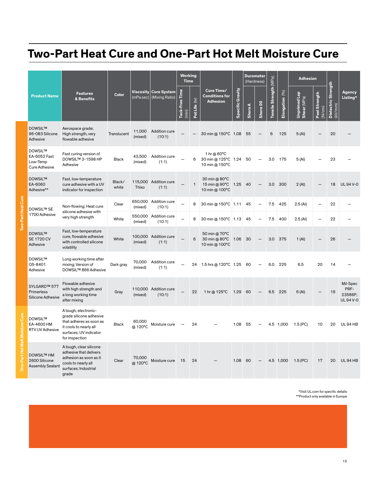### **Two-Part Heat Cure and One-Part Hot Melt Moisture Cure**

|                           |                                                                                                              |                                                                                                                                                  |                    |                         |                                         |                                             | Working<br><b>Time</b>     |                                                        | <b>Durometer</b><br>(Hardness) |                |          |                        | <b>Adhesion</b>    |                             |                            |                                               |                                               |
|---------------------------|--------------------------------------------------------------------------------------------------------------|--------------------------------------------------------------------------------------------------------------------------------------------------|--------------------|-------------------------|-----------------------------------------|---------------------------------------------|----------------------------|--------------------------------------------------------|--------------------------------|----------------|----------|------------------------|--------------------|-----------------------------|----------------------------|-----------------------------------------------|-----------------------------------------------|
|                           | <b>Product Name</b>                                                                                          | <b>Features</b><br>& Benefits                                                                                                                    | Color              | (mPa.sec)               | Viscosity Cure System<br>(Mixing Ratio) | Time<br>Tack-Free<br>$\widehat{\text{min}}$ | (E)<br>Pot Life            | Cure Time/<br><b>Conditions for</b><br><b>Adhesion</b> | <b>Specific Gravity</b>        | <b>Shore A</b> | Shore 00 | Tensile Strength (MPa) | (96)<br>Elongation | Unprimed Lap<br>Shear (MPa) | Strength<br>(N/cm)<br>Peel | Strength<br><b>Dielectric</b><br>$(kV$ mm $)$ | Agency<br>Listing*                            |
|                           | <b>DOWSIL™</b><br>96-083 Silicone<br>Adhesive                                                                | Aerospace grade;<br>High strength, very<br>flowable adhesive                                                                                     | Translucent        | 11,000<br>(mixed)       | Addition cure<br>(10:1)                 |                                             |                            | 30 min @ 150°C 1.08                                    |                                | 55             |          | 6                      | 125                | 5(Al)                       |                            | 20                                            |                                               |
|                           | <b>DOWSIL™</b><br>EA-6052 Fast<br>Low-Temp<br><b>Cure Adhesive</b>                                           | Fast curing version of<br>DOWSIL™ 3-1598 HP<br>Adhesive                                                                                          | <b>Black</b>       | 43.500<br>(mixed)       | Addition cure<br>(1:1)                  |                                             | 6                          | 1 hr @ 60°C<br>30 min @ 125°C 1.24<br>10 min @ 150°C   |                                | 50             |          | 3.0                    | 175                | 5(A)                        |                            | 23                                            |                                               |
|                           | <b>DOWSIL™</b><br>EA-6060<br>Adhesive**                                                                      | Fast, low-temperature<br>cure adhesive with a UV<br>indicator for inspection                                                                     | Black/<br>white    | Thixo                   | 115,000 Addition cure<br>(1:1)          |                                             | $\mathbf{1}$               | 30 min @ 80°C<br>15 min @ 90°C 1.25<br>10 min @ 100°C  |                                | 40             |          | 3.0                    | 300                | 2(AI)                       |                            | 18                                            | <b>UL94V-0</b>                                |
|                           | Non-flowing; Heat cure<br><b>DOWSIL™ SE</b><br>silicone adhesive with<br>1700 Adhesive<br>very high strength | Clear                                                                                                                                            | 650,000<br>(mixed) | Addition cure<br>(10:1) |                                         | 8                                           | 30 min @ 150°C   1.11   45 |                                                        |                                |                | 7.5      | 425                    | 2.5(Al)            | $\overline{\phantom{0}}$    | 22                         |                                               |                                               |
| <b>Two-Part Heat Cure</b> |                                                                                                              |                                                                                                                                                  | White              | 550,000<br>(mixed)      | Addition cure<br>(10:1)                 |                                             | 8                          | 30 min @ 150°C 1.13                                    |                                | 45             |          | 7.5                    | 400                | 2.5 (Al)                    | $\overline{\phantom{0}}$   | 22                                            |                                               |
|                           | <b>DOWSIL™</b><br><b>SE 1720 CV</b><br>Adhesive                                                              | Fast, low-temperature<br>cure, flowable adhesive<br>with controlled silicone<br>volatility                                                       | White              | 100,000<br>(mixed)      | Addition cure<br>(1:1)                  |                                             | 6                          | 50 min @ 70°C<br>30 min @ 80°C 1.06<br>10 min @ 100°C  |                                | 30             |          | 3.0                    | 375                | 1(AI)                       |                            | 26                                            |                                               |
|                           | <b>DOWSIL™</b><br>Q5-8401<br>Adhesive                                                                        | Long working time after<br>mixing; Version of<br>DOWSIL™ 866 Adhesive                                                                            | Dark gray          | 70,000<br>(mixed)       | Addition cure<br>(1:1)                  |                                             |                            | 24 1.5 hrs @ 120°C 1.25 60                             |                                |                |          | 6.0                    | 225                | 6.5                         | 20                         | 14                                            |                                               |
|                           | SYLGARD™ 577<br>Primerless<br>Silicone Adhesive                                                              | Flowable adhesive<br>with high strength and<br>a long working time<br>after mixing                                                               | Gray               | 110,000<br>(mixed)      | Addition cure<br>(10:1)                 |                                             | 22                         | 1 hr @ 125°C                                           | 1.29                           | 60             |          | 6.5                    | 225                | 6(Al)                       |                            | 19                                            | Mil-Spec<br>PRF-<br>23586F:<br><b>UL94V-0</b> |
|                           | <b>DOWSIL™</b><br>EA-4600 HM<br>RTV UV Adhesive                                                              | A tough, electronic-<br>grade silicone adhesive<br>that adheres as soon as<br>it cools to nearly all<br>surfaces; UV indicator<br>for inspection | <b>Black</b>       | 60,000<br>@ 120°C       | Moisture cure                           |                                             | 24                         |                                                        | 1.08                           | 55             |          |                        | 4.5 1,000          | $1.5$ (PC)                  | 10                         | 20                                            | <b>UL 94 HB</b>                               |
|                           | <b>DOWSIL™ HM</b><br>2600 Silicone<br><b>Assembly Sealant</b>                                                | A tough, clear silicone<br>adhesive that delivers<br>adhesion as soon as it<br>cools to nearly all<br>surfaces; Industrial<br>grade              | Clear              | 70.000<br>@ 120°C       | Moisture cure                           | 15                                          | 24                         |                                                        | 1.08                           | 60             |          | 4.5                    | 1,000              | $1.5$ (PC)                  | 17                         | 20                                            | <b>UL94 HB</b>                                |

\*Visit UL.com for specific details \*\*Product only available in Europe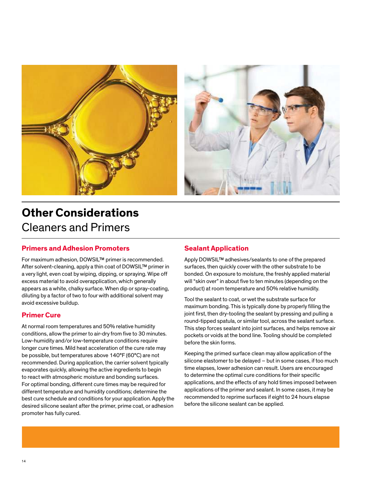

### **Other Considerations** Cleaners and Primers

#### **Primers and Adhesion Promoters**

For maximum adhesion, DOWSIL™ primer is recommended. After solvent-cleaning, apply a thin coat of DOWSIL™ primer in a very light, even coat by wiping, dipping, or spraying. Wipe off excess material to avoid overapplication, which generally appears as a white, chalky surface. When dip or spray-coating, diluting by a factor of two to four with additional solvent may avoid excessive buildup.

#### **Primer Cure**

At normal room temperatures and 50% relative humidity conditions, allow the primer to air-dry from five to 30 minutes. Low-humidity and/or low-temperature conditions require longer cure times. Mild heat acceleration of the cure rate may be possible, but temperatures above 140°F (60°C) are not recommended. During application, the carrier solvent typically evaporates quickly, allowing the active ingredients to begin to react with atmospheric moisture and bonding surfaces. For optimal bonding, different cure times may be required for different temperature and humidity conditions; determine the best cure schedule and conditions for your application. Apply the desired silicone sealant after the primer, prime coat, or adhesion promoter has fully cured.

#### **Sealant Application**

Apply DOWSIL™ adhesives/sealants to one of the prepared surfaces, then quickly cover with the other substrate to be bonded. On exposure to moisture, the freshly applied material will "skin over" in about five to ten minutes (depending on the product) at room temperature and 50% relative humidity.

Tool the sealant to coat, or wet the substrate surface for maximum bonding. This is typically done by properly filling the joint first, then dry-tooling the sealant by pressing and pulling a round-tipped spatula, or similar tool, across the sealant surface. This step forces sealant into joint surfaces, and helps remove air pockets or voids at the bond line. Tooling should be completed before the skin forms.

Keeping the primed surface clean may allow application of the silicone elastomer to be delayed – but in some cases, if too much time elapses, lower adhesion can result. Users are encouraged to determine the optimal cure conditions for their specific applications, and the effects of any hold times imposed between applications of the primer and sealant. In some cases, it may be recommended to reprime surfaces if eight to 24 hours elapse before the silicone sealant can be applied.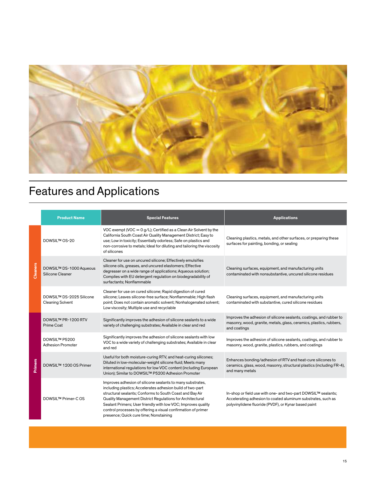

# Features and Applications

|                | <b>Product Name</b>                                 | <b>Special Features</b>                                                                                                                                                                                                                                                                                                                                                                                                       | <b>Applications</b>                                                                                                                                                                   |
|----------------|-----------------------------------------------------|-------------------------------------------------------------------------------------------------------------------------------------------------------------------------------------------------------------------------------------------------------------------------------------------------------------------------------------------------------------------------------------------------------------------------------|---------------------------------------------------------------------------------------------------------------------------------------------------------------------------------------|
|                | DOWSIL™ OS-20                                       | VOC exempt (VOC = $0 g/L$ ); Certified as a Clean Air Solvent by the<br>California South Coast Air Quality Management District; Easy to<br>use; Low in toxicity; Essentially odorless; Safe on plastics and<br>non-corrosive to metals; Ideal for diluting and tailoring the viscosity<br>of silicones                                                                                                                        | Cleaning plastics, metals, and other surfaces, or preparing these<br>surfaces for painting, bonding, or sealing                                                                       |
| Cleaners       | DOWSIL™ DS-1000 Aqueous<br>Silicone Cleaner         | Cleaner for use on uncured silicone; Effectively emulsifies<br>silicone oils, greases, and uncured elastomers; Effective<br>degreaser on a wide range of applications; Aqueous solution;<br>Complies with EU detergent regulation on biodegradability of<br>surfactants; Nonflammable                                                                                                                                         | Cleaning surfaces, equipment, and manufacturing units<br>contaminated with nonsubstantive, uncured silicone residues                                                                  |
|                | DOWSIL™ DS-2025 Silicone<br><b>Cleaning Solvent</b> | Cleaner for use on cured silicone; Rapid digestion of cured<br>silicone; Leaves silicone-free surface; Nonflammable; High flash<br>point; Does not contain aromatic solvent; Nonhalogenated solvent;<br>Low viscosity; Multiple use and recyclable                                                                                                                                                                            | Cleaning surfaces, equipment, and manufacturing units<br>contaminated with substantive, cured silicone residues                                                                       |
|                | DOWSIL™ PR-1200 RTV<br><b>Prime Coat</b>            | Significantly improves the adhesion of silicone sealants to a wide<br>variety of challenging substrates; Available in clear and red                                                                                                                                                                                                                                                                                           | Improves the adhesion of silicone sealants, coatings, and rubber to<br>masonry, wood, granite, metals, glass, ceramics, plastics, rubbers,<br>and coatings                            |
|                | DOWSIL™ P5200<br><b>Adhesion Promoter</b>           | Significantly improves the adhesion of silicone sealants with low<br>VOC to a wide variety of challenging substrates; Available in clear<br>and red                                                                                                                                                                                                                                                                           | Improves the adhesion of silicone sealants, coatings, and rubber to<br>masonry, wood, granite, plastics, rubbers, and coatings                                                        |
| <b>Primers</b> | DOWSIL™ 1200 OS Primer                              | Useful for both moisture-curing RTV, and heat-curing silicones;<br>Diluted in low-molecular-weight silicone fluid; Meets many<br>international regulations for low VOC content (including European<br>Union); Similar to DOWSIL™ P5200 Adhesion Promoter                                                                                                                                                                      | Enhances bonding/adhesion of RTV and heat-cure silicones to<br>ceramics, glass, wood, masonry, structural plastics (including FR-4),<br>and many metals                               |
|                | DOWSIL™ Primer-COS                                  | Improves adhesion of silicone sealants to many substrates,<br>including plastics; Accelerates adhesion build of two-part<br>structural sealants; Conforms to South Coast and Bay Air<br>Quality Management District Regulations for Architectural<br>Sealant Primers; User friendly with low VOC; Improves quality<br>control processes by offering a visual confirmation of primer<br>presence; Quick cure time; Nonstaining | In-shop or field use with one- and two-part DOWSIL™ sealants;<br>Accelerating adhesion to coated aluminum substrates, such as<br>polyvinylidene fluoride (PVDF), or Kynar based paint |